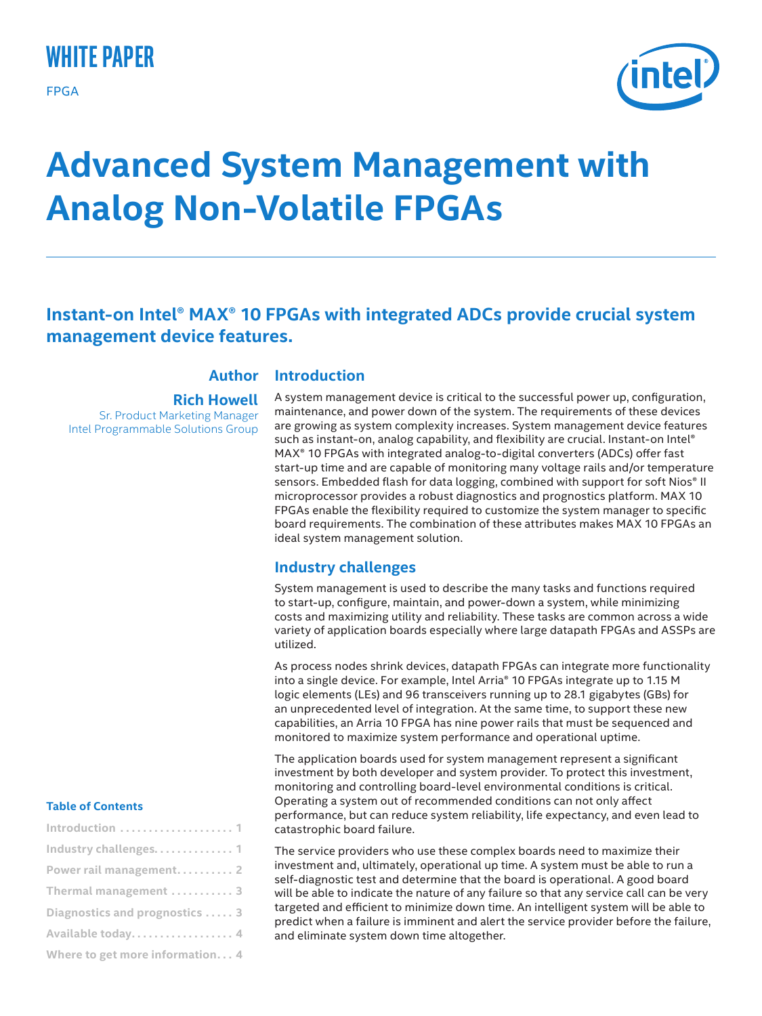## **white paper**

FPGA



# **Advanced System Management with Analog Non-Volatile FPGAs**

## **Instant-on Intel® MAX® 10 FPGAs with integrated ADCs provide crucial system management device features.**

#### **Introduction Author**

**Rich Howell** Sr. Product Marketing Manager Intel Programmable Solutions Group

A system management device is critical to the successful power up, configuration, maintenance, and power down of the system. The requirements of these devices are growing as system complexity increases. System management device features such as instant-on, analog capability, and flexibility are crucial. Instant-on Intel® MAX® 10 FPGAs with integrated analog-to-digital converters (ADCs) offer fast start-up time and are capable of monitoring many voltage rails and/or temperature sensors. Embedded flash for data logging, combined with support for soft Nios® II microprocessor provides a robust diagnostics and prognostics platform. MAX 10 FPGAs enable the flexibility required to customize the system manager to specific board requirements. The combination of these attributes makes MAX 10 FPGAs an ideal system management solution.

## **Industry challenges**

System management is used to describe the many tasks and functions required to start-up, configure, maintain, and power-down a system, while minimizing costs and maximizing utility and reliability. These tasks are common across a wide variety of application boards especially where large datapath FPGAs and ASSPs are utilized.

As process nodes shrink devices, datapath FPGAs can integrate more functionality into a single device. For example, Intel Arria® 10 FPGAs integrate up to 1.15 M logic elements (LEs) and 96 transceivers running up to 28.1 gigabytes (GBs) for an unprecedented level of integration. At the same time, to support these new capabilities, an Arria 10 FPGA has nine power rails that must be sequenced and monitored to maximize system performance and operational uptime.

The application boards used for system management represent a significant investment by both developer and system provider. To protect this investment, monitoring and controlling board-level environmental conditions is critical. Operating a system out of recommended conditions can not only affect performance, but can reduce system reliability, life expectancy, and even lead to catastrophic board failure.

The service providers who use these complex boards need to maximize their investment and, ultimately, operational up time. A system must be able to run a self-diagnostic test and determine that the board is operational. A good board will be able to indicate the nature of any failure so that any service call can be very targeted and efficient to minimize down time. An intelligent system will be able to predict when a failure is imminent and alert the service provider before the failure, and eliminate system down time altogether.

#### **Table of Contents**

| Introduction  1                             |
|---------------------------------------------|
| Industry challenges. 1                      |
| Power rail management 2                     |
| Thermal management $\ldots \ldots \ldots$ 3 |
| Diagnostics and prognostics  3              |
| Available today. 4                          |
| Where to get more information 4             |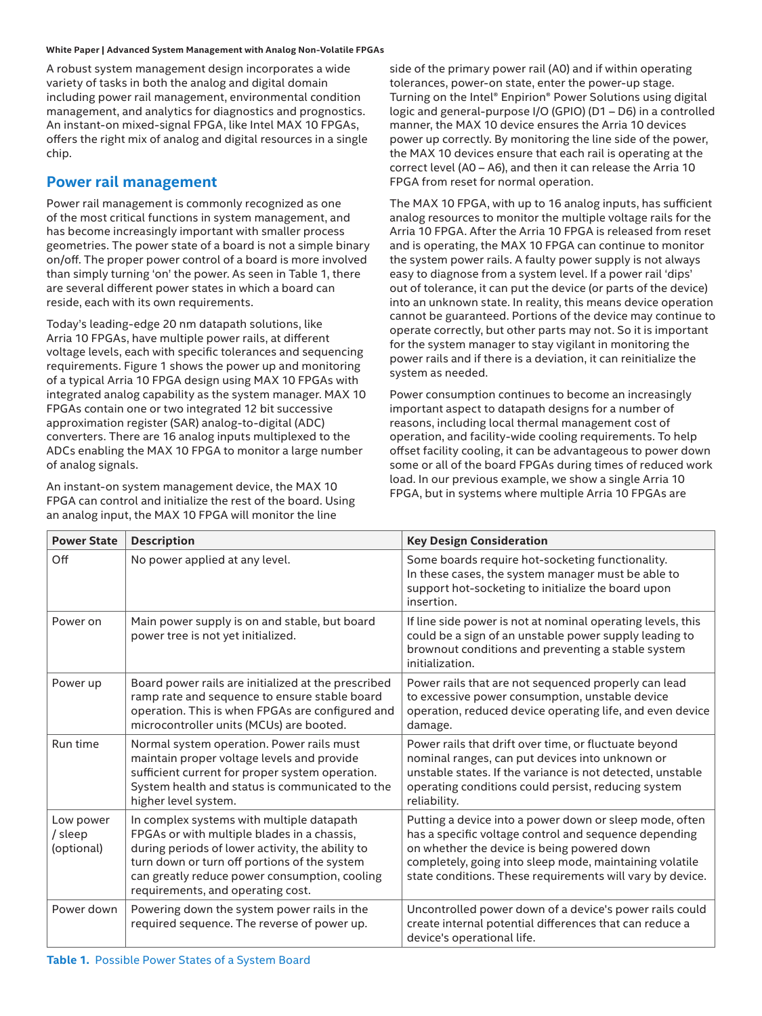#### **White Paper | Advanced System Management with Analog Non-Volatile FPGAs**

A robust system management design incorporates a wide variety of tasks in both the analog and digital domain including power rail management, environmental condition management, and analytics for diagnostics and prognostics. An instant-on mixed-signal FPGA, like Intel MAX 10 FPGAs, offers the right mix of analog and digital resources in a single chip.

#### **Power rail management**

Power rail management is commonly recognized as one of the most critical functions in system management, and has become increasingly important with smaller process geometries. The power state of a board is not a simple binary on/off. The proper power control of a board is more involved than simply turning 'on' the power. As seen in Table 1, there are several different power states in which a board can reside, each with its own requirements.

Today's leading-edge 20 nm datapath solutions, like Arria 10 FPGAs, have multiple power rails, at different voltage levels, each with specific tolerances and sequencing requirements. Figure 1 shows the power up and monitoring of a typical Arria 10 FPGA design using MAX 10 FPGAs with integrated analog capability as the system manager. MAX 10 FPGAs contain one or two integrated 12 bit successive approximation register (SAR) analog-to-digital (ADC) converters. There are 16 analog inputs multiplexed to the ADCs enabling the MAX 10 FPGA to monitor a large number of analog signals.

An instant-on system management device, the MAX 10 FPGA can control and initialize the rest of the board. Using an analog input, the MAX 10 FPGA will monitor the line

side of the primary power rail (A0) and if within operating tolerances, power-on state, enter the power-up stage. Turning on the Intel® Enpirion® Power Solutions using digital logic and general-purpose I/O (GPIO) (D1 – D6) in a controlled manner, the MAX 10 device ensures the Arria 10 devices power up correctly. By monitoring the line side of the power, the MAX 10 devices ensure that each rail is operating at the correct level (A0 – A6), and then it can release the Arria 10 FPGA from reset for normal operation.

The MAX 10 FPGA, with up to 16 analog inputs, has sufficient analog resources to monitor the multiple voltage rails for the Arria 10 FPGA. After the Arria 10 FPGA is released from reset and is operating, the MAX 10 FPGA can continue to monitor the system power rails. A faulty power supply is not always easy to diagnose from a system level. If a power rail 'dips' out of tolerance, it can put the device (or parts of the device) into an unknown state. In reality, this means device operation cannot be guaranteed. Portions of the device may continue to operate correctly, but other parts may not. So it is important for the system manager to stay vigilant in monitoring the power rails and if there is a deviation, it can reinitialize the system as needed.

Power consumption continues to become an increasingly important aspect to datapath designs for a number of reasons, including local thermal management cost of operation, and facility-wide cooling requirements. To help offset facility cooling, it can be advantageous to power down some or all of the board FPGAs during times of reduced work load. In our previous example, we show a single Arria 10 FPGA, but in systems where multiple Arria 10 FPGAs are

| <b>Power State</b>                 | <b>Description</b>                                                                                                                                                                                                                                                                 | <b>Key Design Consideration</b>                                                                                                                                                                                                                                                         |
|------------------------------------|------------------------------------------------------------------------------------------------------------------------------------------------------------------------------------------------------------------------------------------------------------------------------------|-----------------------------------------------------------------------------------------------------------------------------------------------------------------------------------------------------------------------------------------------------------------------------------------|
| Off                                | No power applied at any level.                                                                                                                                                                                                                                                     | Some boards require hot-socketing functionality.<br>In these cases, the system manager must be able to<br>support hot-socketing to initialize the board upon<br>insertion.                                                                                                              |
| Power on                           | Main power supply is on and stable, but board<br>power tree is not yet initialized.                                                                                                                                                                                                | If line side power is not at nominal operating levels, this<br>could be a sign of an unstable power supply leading to<br>brownout conditions and preventing a stable system<br>initialization.                                                                                          |
| Power up                           | Board power rails are initialized at the prescribed<br>ramp rate and sequence to ensure stable board<br>operation. This is when FPGAs are configured and<br>microcontroller units (MCUs) are booted.                                                                               | Power rails that are not sequenced properly can lead<br>to excessive power consumption, unstable device<br>operation, reduced device operating life, and even device<br>damage.                                                                                                         |
| Run time                           | Normal system operation. Power rails must<br>maintain proper voltage levels and provide<br>sufficient current for proper system operation.<br>System health and status is communicated to the<br>higher level system.                                                              | Power rails that drift over time, or fluctuate beyond<br>nominal ranges, can put devices into unknown or<br>unstable states. If the variance is not detected, unstable<br>operating conditions could persist, reducing system<br>reliability.                                           |
| Low power<br>/ sleep<br>(optional) | In complex systems with multiple datapath<br>FPGAs or with multiple blades in a chassis,<br>during periods of lower activity, the ability to<br>turn down or turn off portions of the system<br>can greatly reduce power consumption, cooling<br>requirements, and operating cost. | Putting a device into a power down or sleep mode, often<br>has a specific voltage control and sequence depending<br>on whether the device is being powered down<br>completely, going into sleep mode, maintaining volatile<br>state conditions. These requirements will vary by device. |
| Power down                         | Powering down the system power rails in the<br>required sequence. The reverse of power up.                                                                                                                                                                                         | Uncontrolled power down of a device's power rails could<br>create internal potential differences that can reduce a<br>device's operational life.                                                                                                                                        |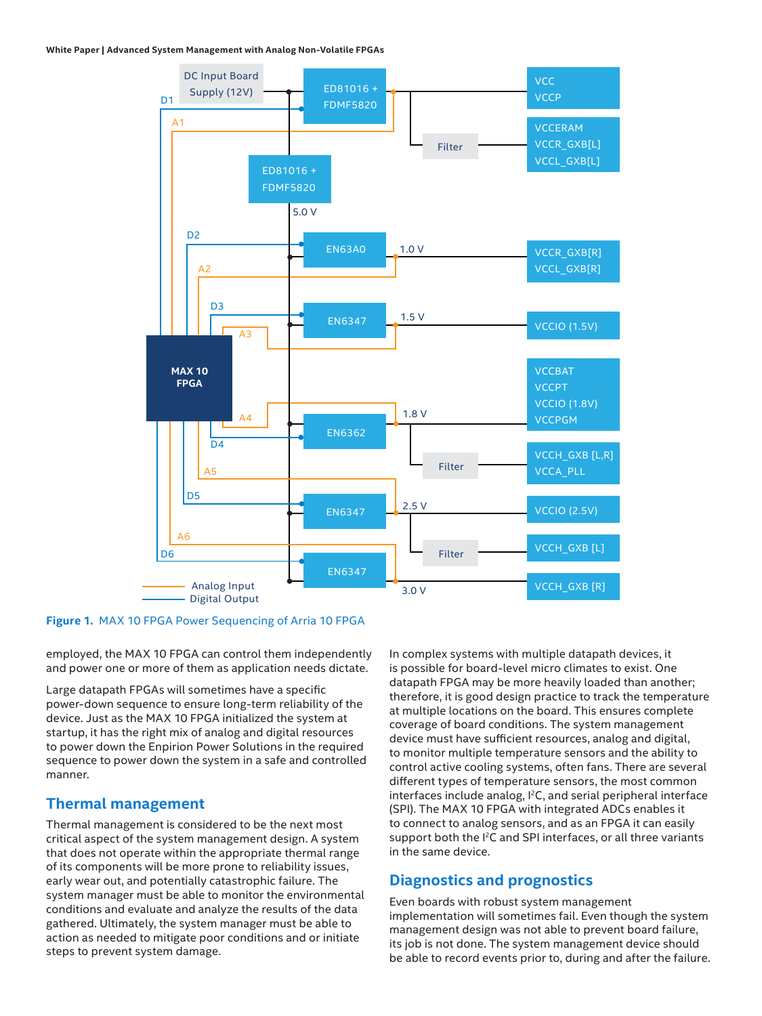#### **White Paper | Advanced System Management with Analog Non-Volatile FPGAs**



**Figure 1.** MAX 10 FPGA Power Sequencing of Arria 10 FPGA

employed, the MAX 10 FPGA can control them independently and power one or more of them as application needs dictate.

Large datapath FPGAs will sometimes have a specific power-down sequence to ensure long-term reliability of the device. Just as the MAX 10 FPGA initialized the system at startup, it has the right mix of analog and digital resources to power down the Enpirion Power Solutions in the required sequence to power down the system in a safe and controlled manner.

### **Thermal management**

Thermal management is considered to be the next most critical aspect of the system management design. A system that does not operate within the appropriate thermal range of its components will be more prone to reliability issues, early wear out, and potentially catastrophic failure. The system manager must be able to monitor the environmental conditions and evaluate and analyze the results of the data gathered. Ultimately, the system manager must be able to action as needed to mitigate poor conditions and or initiate steps to prevent system damage.

In complex systems with multiple datapath devices, it is possible for board-level micro climates to exist. One datapath FPGA may be more heavily loaded than another; therefore, it is good design practice to track the temperature at multiple locations on the board. This ensures complete coverage of board conditions. The system management device must have sufficient resources, analog and digital, to monitor multiple temperature sensors and the ability to control active cooling systems, often fans. There are several different types of temperature sensors, the most common interfaces include analog, <sup>12</sup>C, and serial peripheral interface (SPI). The MAX 10 FPGA with integrated ADCs enables it to connect to analog sensors, and as an FPGA it can easily support both the I<sup>2</sup>C and SPI interfaces, or all three variants in the same device.

#### **Diagnostics and prognostics**

Even boards with robust system management implementation will sometimes fail. Even though the system management design was not able to prevent board failure, its job is not done. The system management device should be able to record events prior to, during and after the failure.